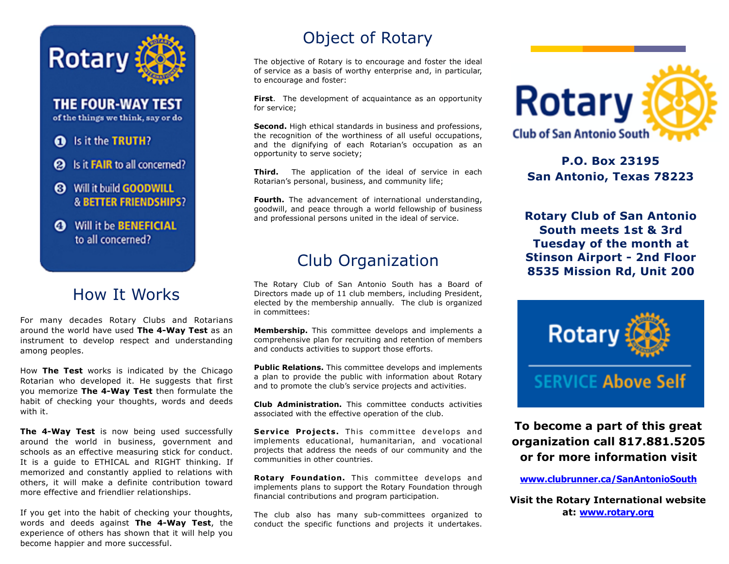

**THE FOUR-WAY TEST** of the things we think, say or do

#### 6 Is it the TRUTH?

- **@** Is it **FAIR** to all concerned?
- **8** Will it build GOODWILL **& BETTER FRIENDSHIPS?**
- **@** Will it be **BENEFICIAL** to all concerned?

### How It Works

For many decades Rotary Clubs and Rotarians around the world have used **The 4-Way Test** as an instrument to develop respect and understanding among peoples.

How **The Test** works is indicated by the Chicago Rotarian who developed it. He suggests that first you memorize **The 4-Way Test** then formulate the habit of checking your thoughts, words and deeds with it.

**The 4-Way Test** is now being used successfully around the world in business, government and schools as an effective measuring stick for conduct. It is a guide to ETHICAL and RIGHT thinking. If memorized and constantly applied to relations with others, it will make a definite contribution toward more effective and friendlier relationships.

If you get into the habit of checking your thoughts, words and deeds against **The 4-Way Test**, the experience of others has shown that it will help you become happier and more successful.

# Object of Rotary

The objective of Rotary is to encourage and foster the ideal of service as a basis of worthy enterprise and, in particular, to encourage and foster:

**First**. The development of acquaintance as an opportunity for service;

**Second.** High ethical standards in business and professions, the recognition of the worthiness of all useful occupations, and the dignifying of each Rotarian's occupation as an opportunity to serve society;

**Third.** The application of the ideal of service in each Rotarian's personal, business, and community life;

**Fourth.** The advancement of international understanding, goodwill, and peace through a world fellowship of business and professional persons united in the ideal of service.

## Club Organization

The Rotary Club of San Antonio South has a Board of Directors made up of 11 club members, including President, elected by the membership annually. The club is organized in committees:

**Membership.** This committee develops and implements a comprehensive plan for recruiting and retention of members and conducts activities to support those efforts.

**Public Relations.** This committee develops and implements a plan to provide the public with information about Rotary and to promote the club's service projects and activities.

**Club Administration.** This committee conducts activities associated with the effective operation of the club.

**Service Projects.** This committee develops and implements educational, humanitarian, and vocational projects that address the needs of our community and the communities in other countries.

**Rotary Foundation.** This committee develops and implements plans to support the Rotary Foundation through financial contributions and program participation.

The club also has many sub-committees organized to conduct the specific functions and projects it undertakes.



**P.O. Box 23195 San Antonio, Texas 78223**

**Rotary Club of San Antonio South meets 1st & 3rd Tuesday of the month at Stinson Airport - 2nd Floor 8535 Mission Rd, Unit 200**



**To become a part of this great organization call 817.881.5205 or for more information visit** 

**[www.clubrunner.ca/SanAntonioSouth](http://www.clubrunner.ca/SanAntonioSouth)**

**Visit the Rotary International website at: [www.rotary.org](http://www.rotary.org)**